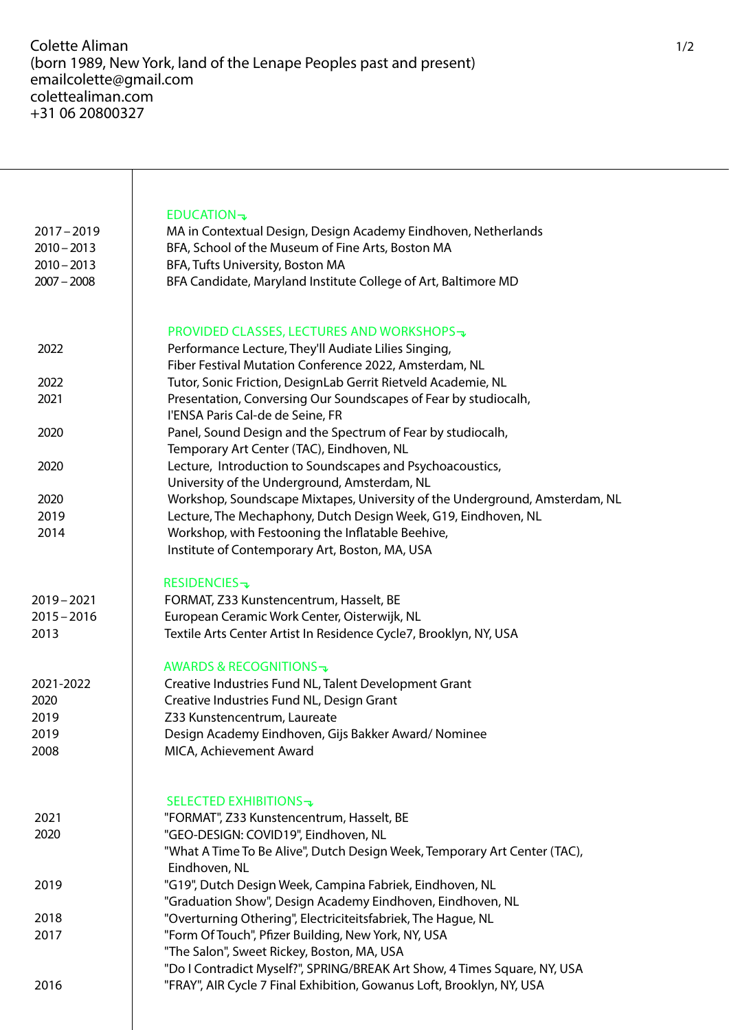Τ

| $2017 - 2019$<br>$2010 - 2013$<br>$2010 - 2013$<br>$2007 - 2008$                    | <b>EDUCATION</b> $\rightarrow$<br>MA in Contextual Design, Design Academy Eindhoven, Netherlands<br>BFA, School of the Museum of Fine Arts, Boston MA<br>BFA, Tufts University, Boston MA<br>BFA Candidate, Maryland Institute College of Art, Baltimore MD                                                                                                                                                                                        |
|-------------------------------------------------------------------------------------|----------------------------------------------------------------------------------------------------------------------------------------------------------------------------------------------------------------------------------------------------------------------------------------------------------------------------------------------------------------------------------------------------------------------------------------------------|
| 2022                                                                                | PROVIDED CLASSES, LECTURES AND WORKSHOPS →<br>Performance Lecture, They'll Audiate Lilies Singing,<br>Fiber Festival Mutation Conference 2022, Amsterdam, NL                                                                                                                                                                                                                                                                                       |
| 2022                                                                                | Tutor, Sonic Friction, DesignLab Gerrit Rietveld Academie, NL                                                                                                                                                                                                                                                                                                                                                                                      |
| 2021                                                                                | Presentation, Conversing Our Soundscapes of Fear by studiocalh,                                                                                                                                                                                                                                                                                                                                                                                    |
|                                                                                     | l'ENSA Paris Cal-de de Seine, FR                                                                                                                                                                                                                                                                                                                                                                                                                   |
| 2020                                                                                | Panel, Sound Design and the Spectrum of Fear by studiocalh,                                                                                                                                                                                                                                                                                                                                                                                        |
|                                                                                     | Temporary Art Center (TAC), Eindhoven, NL                                                                                                                                                                                                                                                                                                                                                                                                          |
| 2020                                                                                | Lecture, Introduction to Soundscapes and Psychoacoustics,                                                                                                                                                                                                                                                                                                                                                                                          |
|                                                                                     | University of the Underground, Amsterdam, NL                                                                                                                                                                                                                                                                                                                                                                                                       |
| 2020                                                                                | Workshop, Soundscape Mixtapes, University of the Underground, Amsterdam, NL                                                                                                                                                                                                                                                                                                                                                                        |
| 2019                                                                                | Lecture, The Mechaphony, Dutch Design Week, G19, Eindhoven, NL                                                                                                                                                                                                                                                                                                                                                                                     |
| 2014                                                                                | Workshop, with Festooning the Inflatable Beehive,<br>Institute of Contemporary Art, Boston, MA, USA                                                                                                                                                                                                                                                                                                                                                |
| $2019 - 2021$<br>$2015 - 2016$<br>2013<br>2021-2022<br>2020<br>2019<br>2019<br>2008 | <b>RESIDENCIES-</b><br>FORMAT, Z33 Kunstencentrum, Hasselt, BE<br>European Ceramic Work Center, Oisterwijk, NL<br>Textile Arts Center Artist In Residence Cycle7, Brooklyn, NY, USA<br><b>AWARDS &amp; RECOGNITIONS →</b><br>Creative Industries Fund NL, Talent Development Grant<br>Creative Industries Fund NL, Design Grant<br>Z33 Kunstencentrum, Laureate<br>Design Academy Eindhoven, Gijs Bakker Award/ Nominee<br>MICA, Achievement Award |
| 2021<br>2020                                                                        | SELECTED EXHIBITIONS $\neg$<br>"FORMAT", Z33 Kunstencentrum, Hasselt, BE<br>"GEO-DESIGN: COVID19", Eindhoven, NL<br>"What A Time To Be Alive", Dutch Design Week, Temporary Art Center (TAC),<br>Eindhoven, NL                                                                                                                                                                                                                                     |
| 2019                                                                                | "G19", Dutch Design Week, Campina Fabriek, Eindhoven, NL<br>"Graduation Show", Design Academy Eindhoven, Eindhoven, NL                                                                                                                                                                                                                                                                                                                             |
| 2018                                                                                | "Overturning Othering", Electriciteitsfabriek, The Hague, NL                                                                                                                                                                                                                                                                                                                                                                                       |
| 2017                                                                                | "Form Of Touch", Pfizer Building, New York, NY, USA<br>"The Salon", Sweet Rickey, Boston, MA, USA<br>"Do I Contradict Myself?", SPRING/BREAK Art Show, 4 Times Square, NY, USA                                                                                                                                                                                                                                                                     |
| 2016                                                                                | "FRAY", AIR Cycle 7 Final Exhibition, Gowanus Loft, Brooklyn, NY, USA                                                                                                                                                                                                                                                                                                                                                                              |
|                                                                                     |                                                                                                                                                                                                                                                                                                                                                                                                                                                    |